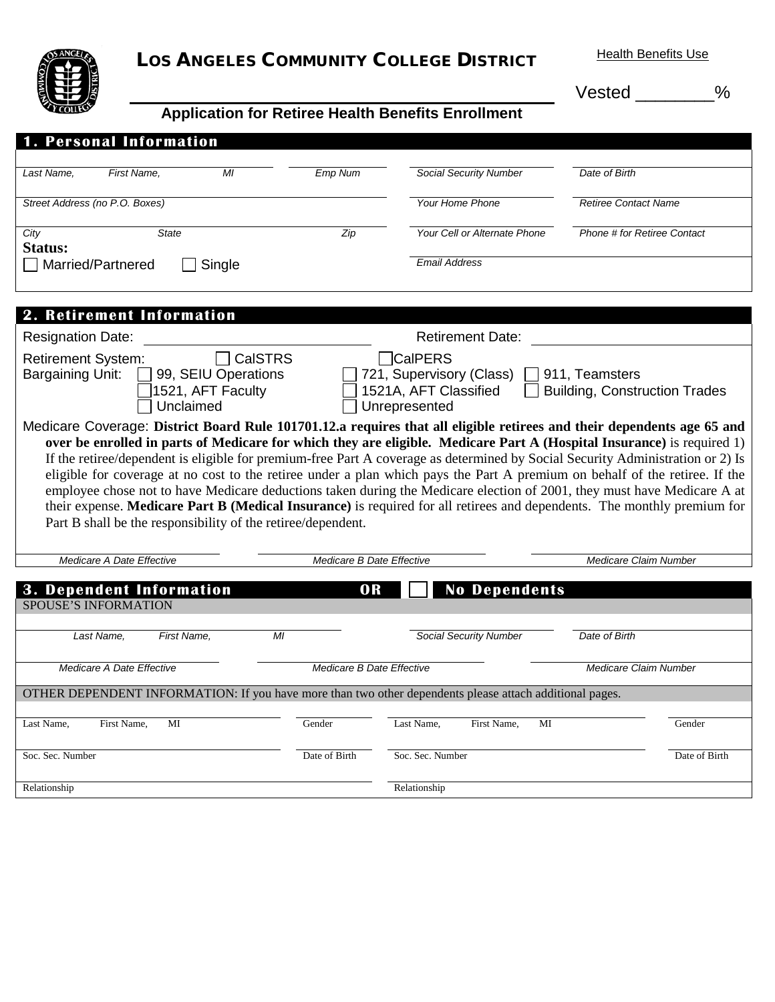

## LOS ANGELES COMMUNITY COLLEGE DISTRICT Health Benefits Use

Vested \_\_\_\_\_\_\_\_%

## **Application for Retiree Health Benefits Enrollment**

| <b>1. Personal Information</b>                                                                                                                                                                                                                   |                     |                           |                               |                                      |               |  |  |  |
|--------------------------------------------------------------------------------------------------------------------------------------------------------------------------------------------------------------------------------------------------|---------------------|---------------------------|-------------------------------|--------------------------------------|---------------|--|--|--|
| First Name,<br>Last Name,                                                                                                                                                                                                                        | MI                  | Emp Num                   | Social Security Number        | Date of Birth                        |               |  |  |  |
| Street Address (no P.O. Boxes)                                                                                                                                                                                                                   |                     |                           | Your Home Phone               | <b>Retiree Contact Name</b>          |               |  |  |  |
|                                                                                                                                                                                                                                                  |                     |                           |                               |                                      |               |  |  |  |
| <b>State</b><br>City<br>Status:                                                                                                                                                                                                                  |                     | Zip                       | Your Cell or Alternate Phone  | Phone # for Retiree Contact          |               |  |  |  |
| Married/Partnered                                                                                                                                                                                                                                | Single              |                           | <b>Email Address</b>          |                                      |               |  |  |  |
|                                                                                                                                                                                                                                                  |                     |                           |                               |                                      |               |  |  |  |
| 2. Retirement Information                                                                                                                                                                                                                        |                     |                           |                               |                                      |               |  |  |  |
| <b>Resignation Date:</b>                                                                                                                                                                                                                         |                     |                           | <b>Retirement Date:</b>       |                                      |               |  |  |  |
| <b>Retirement System:</b>                                                                                                                                                                                                                        | <b>CalSTRS</b>      |                           | <b>CalPERS</b>                |                                      |               |  |  |  |
| Bargaining Unit:                                                                                                                                                                                                                                 | 99, SEIU Operations |                           | 721, Supervisory (Class)      | 911, Teamsters                       |               |  |  |  |
|                                                                                                                                                                                                                                                  | 1521, AFT Faculty   |                           | 1521A, AFT Classified         | <b>Building, Construction Trades</b> |               |  |  |  |
| Unclaimed                                                                                                                                                                                                                                        |                     |                           | Unrepresented                 |                                      |               |  |  |  |
| Medicare Coverage: District Board Rule 101701.12.a requires that all eligible retirees and their dependents age 65 and<br>over be enrolled in parts of Medicare for which they are eligible. Medicare Part A (Hospital Insurance) is required 1) |                     |                           |                               |                                      |               |  |  |  |
| If the retiree/dependent is eligible for premium-free Part A coverage as determined by Social Security Administration or 2) Is                                                                                                                   |                     |                           |                               |                                      |               |  |  |  |
| eligible for coverage at no cost to the retiree under a plan which pays the Part A premium on behalf of the retiree. If the                                                                                                                      |                     |                           |                               |                                      |               |  |  |  |
| employee chose not to have Medicare deductions taken during the Medicare election of 2001, they must have Medicare A at                                                                                                                          |                     |                           |                               |                                      |               |  |  |  |
| their expense. Medicare Part B (Medical Insurance) is required for all retirees and dependents. The monthly premium for                                                                                                                          |                     |                           |                               |                                      |               |  |  |  |
| Part B shall be the responsibility of the retiree/dependent.                                                                                                                                                                                     |                     |                           |                               |                                      |               |  |  |  |
| Medicare A Date Effective                                                                                                                                                                                                                        |                     | Medicare B Date Effective |                               | Medicare Claim Number                |               |  |  |  |
|                                                                                                                                                                                                                                                  |                     |                           |                               |                                      |               |  |  |  |
| 3. Dependent Information                                                                                                                                                                                                                         |                     | OR                        | <b>No Dependents</b>          |                                      |               |  |  |  |
| <b>SPOUSE'S INFORMATION</b>                                                                                                                                                                                                                      |                     |                           |                               |                                      |               |  |  |  |
| Last Name,<br>First Name,                                                                                                                                                                                                                        | M <sub>l</sub>      |                           | <b>Social Security Number</b> | Date of Birth                        |               |  |  |  |
|                                                                                                                                                                                                                                                  |                     |                           |                               |                                      |               |  |  |  |
| Medicare A Date Effective                                                                                                                                                                                                                        |                     | Medicare B Date Effective |                               | Medicare Claim Number                |               |  |  |  |
| OTHER DEPENDENT INFORMATION: If you have more than two other dependents please attach additional pages.                                                                                                                                          |                     |                           |                               |                                      |               |  |  |  |
| MI<br>First Name,<br>Last Name,                                                                                                                                                                                                                  |                     | Gender                    | Last Name,<br>First Name.     | MI                                   | Gender        |  |  |  |
|                                                                                                                                                                                                                                                  |                     |                           |                               |                                      |               |  |  |  |
| Soc. Sec. Number                                                                                                                                                                                                                                 |                     | Date of Birth             | Soc. Sec. Number              |                                      | Date of Birth |  |  |  |
| Relationship                                                                                                                                                                                                                                     |                     |                           | Relationship                  |                                      |               |  |  |  |
|                                                                                                                                                                                                                                                  |                     |                           |                               |                                      |               |  |  |  |